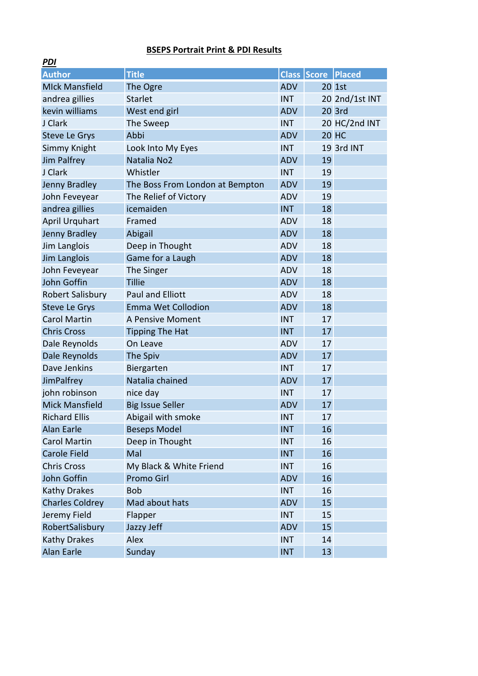## **BSEPS Portrait Print & PDI Results**

| PDI                    |                                 |            |                           |                |
|------------------------|---------------------------------|------------|---------------------------|----------------|
| <b>Author</b>          | <b>Title</b>                    |            | <b>Class Score Placed</b> |                |
| <b>MIck Mansfield</b>  | The Ogre                        | <b>ADV</b> |                           | 20 1st         |
| andrea gillies         | <b>Starlet</b>                  | <b>INT</b> |                           | 20 2nd/1st INT |
| kevin williams         | West end girl                   | <b>ADV</b> |                           | 20 3rd         |
| J Clark                | The Sweep                       | <b>INT</b> |                           | 20 HC/2nd INT  |
| <b>Steve Le Grys</b>   | Abbi                            | <b>ADV</b> |                           | <b>20 HC</b>   |
| Simmy Knight           | Look Into My Eyes               | <b>INT</b> |                           | 19 3rd INT     |
| Jim Palfrey            | Natalia No2                     | <b>ADV</b> | 19                        |                |
| J Clark                | Whistler                        | <b>INT</b> | 19                        |                |
| Jenny Bradley          | The Boss From London at Bempton | <b>ADV</b> | 19                        |                |
| John Feveyear          | The Relief of Victory           | <b>ADV</b> | 19                        |                |
| andrea gillies         | icemaiden                       | <b>INT</b> | 18                        |                |
| <b>April Urquhart</b>  | Framed                          | <b>ADV</b> | 18                        |                |
| Jenny Bradley          | Abigail                         | <b>ADV</b> | 18                        |                |
| Jim Langlois           | Deep in Thought                 | <b>ADV</b> | 18                        |                |
| Jim Langlois           | Game for a Laugh                | <b>ADV</b> | 18                        |                |
| John Feveyear          | The Singer                      | <b>ADV</b> | 18                        |                |
| John Goffin            | <b>Tillie</b>                   | <b>ADV</b> | 18                        |                |
| Robert Salisbury       | <b>Paul and Elliott</b>         | <b>ADV</b> | 18                        |                |
| <b>Steve Le Grys</b>   | <b>Emma Wet Collodion</b>       | <b>ADV</b> | 18                        |                |
| <b>Carol Martin</b>    | A Pensive Moment                | <b>INT</b> | 17                        |                |
| <b>Chris Cross</b>     | <b>Tipping The Hat</b>          | <b>INT</b> | 17                        |                |
| Dale Reynolds          | On Leave                        | <b>ADV</b> | 17                        |                |
| Dale Reynolds          | The Spiv                        | <b>ADV</b> | 17                        |                |
| Dave Jenkins           | Biergarten                      | <b>INT</b> | 17                        |                |
| JimPalfrey             | Natalia chained                 | <b>ADV</b> | 17                        |                |
| john robinson          | nice day                        | <b>INT</b> | 17                        |                |
| <b>Mick Mansfield</b>  | <b>Big Issue Seller</b>         | <b>ADV</b> | 17                        |                |
| <b>Richard Ellis</b>   | Abigail with smoke              | <b>INT</b> | 17                        |                |
| Alan Earle             | <b>Beseps Model</b>             | <b>INT</b> | 16                        |                |
| <b>Carol Martin</b>    | Deep in Thought                 | <b>INT</b> | 16                        |                |
| <b>Carole Field</b>    | Mal                             | <b>INT</b> | 16                        |                |
| <b>Chris Cross</b>     | My Black & White Friend         | <b>INT</b> | 16                        |                |
| John Goffin            | <b>Promo Girl</b>               | <b>ADV</b> | 16                        |                |
| <b>Kathy Drakes</b>    | <b>Bob</b>                      | <b>INT</b> | 16                        |                |
| <b>Charles Coldrey</b> | Mad about hats                  | <b>ADV</b> | 15                        |                |
| Jeremy Field           | Flapper                         | <b>INT</b> | 15                        |                |
| RobertSalisbury        | Jazzy Jeff                      | <b>ADV</b> | 15                        |                |
| <b>Kathy Drakes</b>    | Alex                            | <b>INT</b> | 14                        |                |
| <b>Alan Earle</b>      | Sunday                          | <b>INT</b> | 13                        |                |